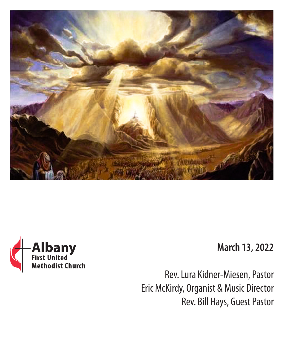



### **March 13, 2022**

Rev. Lura Kidner-Miesen, Pastor Eric McKirdy, Organist & Music Director Rev. Bill Hays, Guest Pastor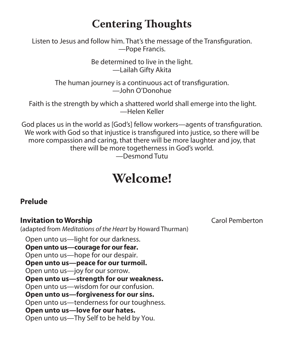## **Centering Thoughts**

Listen to Jesus and follow him. That's the message of the Transfiguration. —Pope Francis.

> Be determined to live in the light. —Lailah Gifty Akita

The human journey is a continuous act of transfiguration. —John O'Donohue

 Faith is the strength by which a shattered world shall emerge into the light. —Helen Keller

God places us in the world as [God's] fellow workers—agents of transfiguration. We work with God so that injustice is transfigured into justice, so there will be more compassion and caring, that there will be more laughter and joy, that there will be more togetherness in God's world.

—Desmond Tutu

# **Welcome!**

#### **Prelude**

#### **Invitation to Worship** Carol Pemberton

(adapted from *Meditations of the Heart* by Howard Thurman)

Open unto us—light for our darkness. **Open unto us—courage for our fear.** Open unto us—hope for our despair. **Open unto us—peace for our turmoil.** Open unto us—joy for our sorrow. **Open unto us—strength for our weakness.** Open unto us—wisdom for our confusion. **Open unto us—forgiveness for our sins.** Open unto us—tenderness for our toughness. **Open unto us—love for our hates.** Open unto us—Thy Self to be held by You.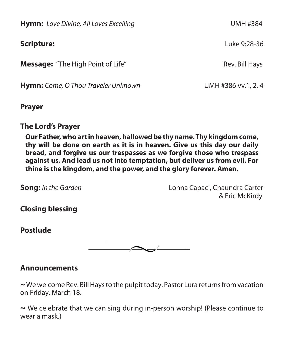**Hymn:** Love Divine, All Loves Excelling **Excelling UMH #384 Scripture:** Luke 9:28-36 **Message:** "The High Point of Life" The Sound of Life and the Rev. Bill Hays **Hymn:** Come, O Thou Traveler Unknown *UMH #386 vv.1, 2, 4* 

#### **Prayer**

#### **The Lord's Prayer**

**Our Father, who art in heaven, hallowed be thy name. Thy kingdom come, thy will be done on earth as it is in heaven. Give us this day our daily bread, and forgive us our trespasses as we forgive those who trespass against us. And lead us not into temptation, but deliver us from evil. For thine is the kingdom, and the power, and the glory forever. Amen.**

**Song:** *In the Garden*Lonna Capaci, Chaundra Carter & Eric McKirdy

**Closing blessing** 

**Postlude**



#### **Announcements**

**~**We welcome Rev. Bill Hays to the pulpit today. Pastor Lura returns from vacation on Friday, March 18.

**~** We celebrate that we can sing during in-person worship! (Please continue to wear a mask.)